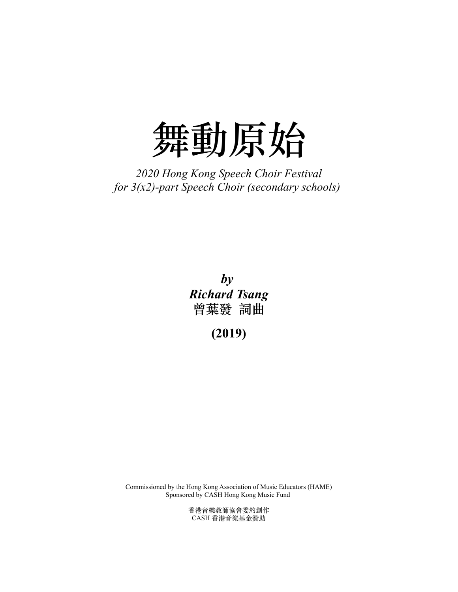

*2020 Hong Kong Speech Choir Festival for 3(x2)-part Speech Choir (secondary schools)*

> **曾葉發 詞曲** *by Richard Tsang*

> > **(2019)**

Commissioned by the Hong Kong Association of Music Educators (HAME) Sponsored by CASH Hong Kong Music Fund

> ⾹港⾳樂教師協會委約創作 re a 未去品而者女为高行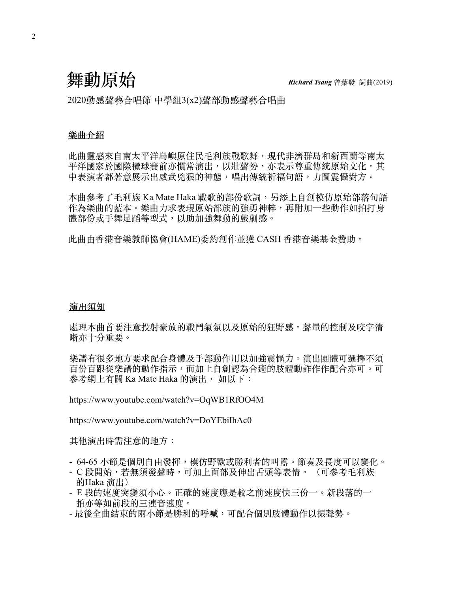*Richard Tsang* 曾葉發 詞曲(2019)

## **舞動原始**

<sup>2020</sup>動感聲藝合唱節 中學組3(x2)聲部動感聲藝合唱曲

## **樂曲介紹**

此曲靈感來自南太平洋島嶼原住民毛利族戰歌舞,現代非濟群島和新西蘭等南太 平洋國家於國際欖球賽前亦慣常演出,以壯聲勢,亦表示尊重傳統原始文化。其 中表演者都著意展示出威武兇狠的神熊,唱出傳統祈福句語,力圖震懾對方。

本曲參考了毛利族 Ka Mate Haka 戰歌的部份歌詞,另添上自創模仿原始部落句語 作為樂曲的藍本。樂曲力求表現原始部族的強勇神粹,再附加一些動作如拍打身 體部份或手舞足蹈等型式,以助加強舞動的戲劇感。

此曲由香港音樂教師協會(HAME)委約創作並獲 CASH 香港音樂基金贊助。

## **演出須知**

處理本曲⾸要注意投射豪放的戰⾾氣氛以及原始的狂野感。聲量的控制及咬字清 晰亦十分重要。

樂譜有很多地方要求配合身體及手部動作用以加強震懾力。演出團體可選擇不須 百份百跟從樂譜的動作指示,而加上自創認為合適的肢體動詐作作配合亦可。可 參考網上有關 Ka Mate Haka 的演出, 如以下:

https://www.youtube.com/watch?v=OqWB1RfOO4M

https://www.youtube.com/watch?v=DoYEbiIhAc0

其他演出時需注意的地方:

- 64-65 小節是個別自由發揮,模仿野獸或勝利者的叫囂。節奏及長度可以變化。
- C 段開始,若無須發聲時,可加上面部以動型出舌頭等表情。 (可參考毛利族 <sup>的</sup>Haka 演出)
- fi}naka 设出 /<br>- E 段的速度突變須小心。正確的速度應是較之前速度快三份一。新段落的一 拍亦等如前段的三連音速度。
- 记办寺如前衫的二定日延及<br>- 最後全曲結束的兩小節是勝利的呼喊,可配合個別肢體動作以振聲勢。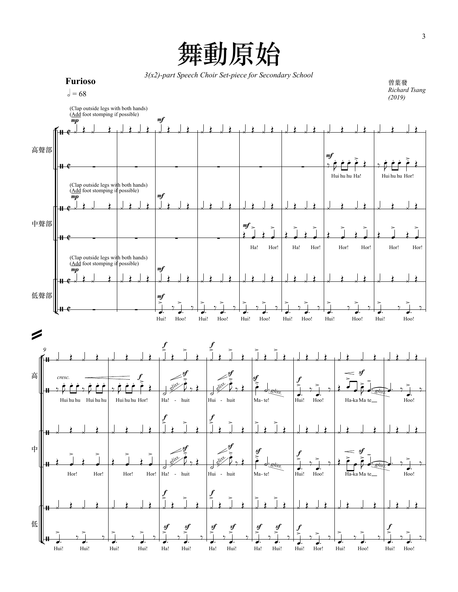*3(x2)-part Speech Choir Set-piece for Secondary School*

**舞動原始**

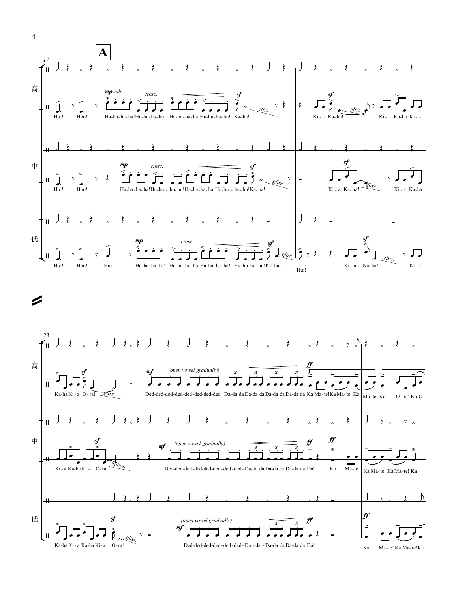



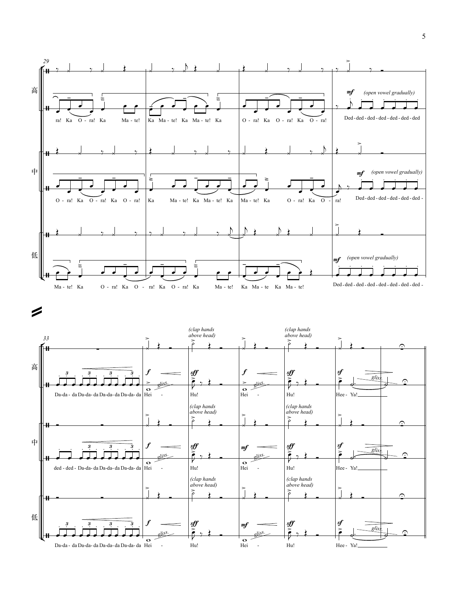

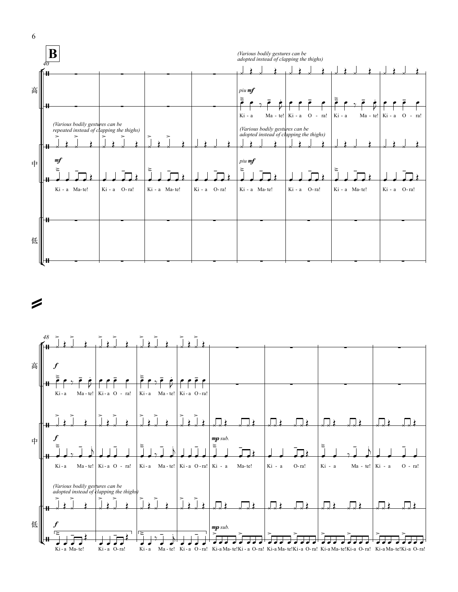



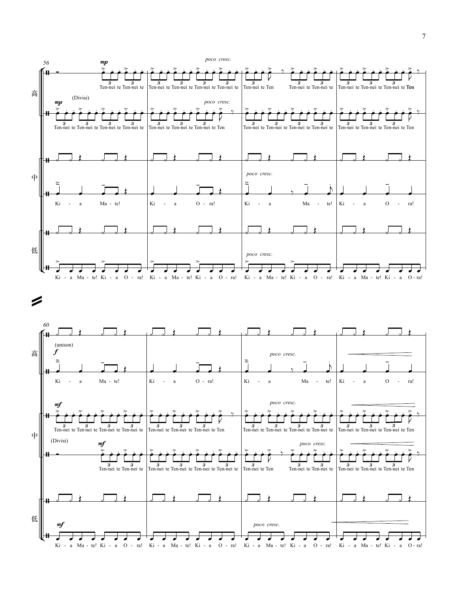



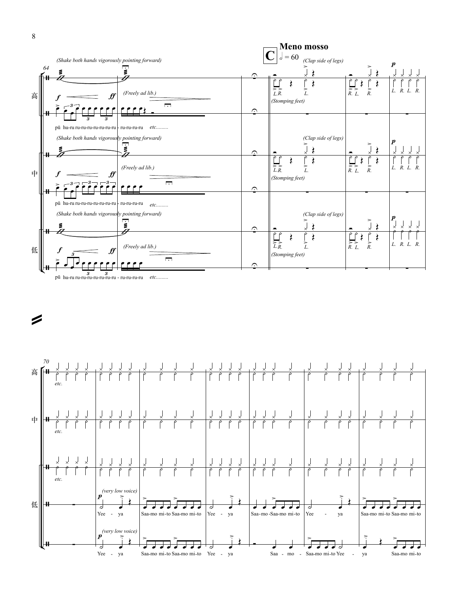

 $\mathbb{Z}$  and the set of  $\mathbb{Z}$ 

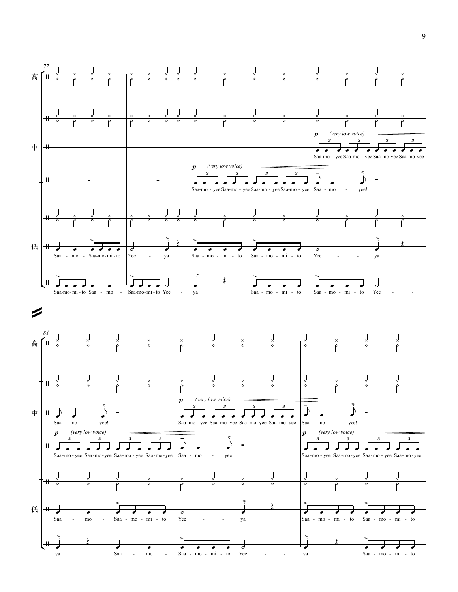

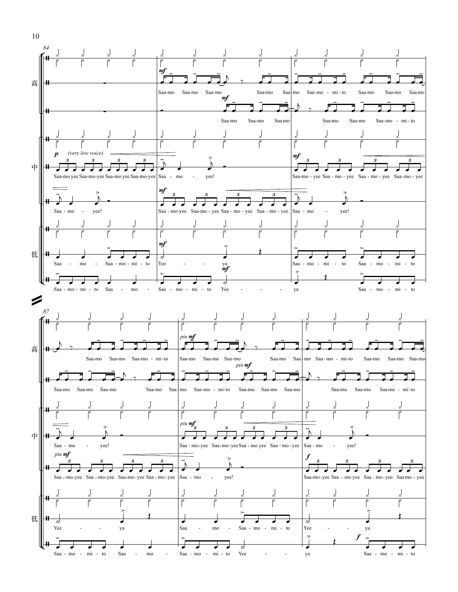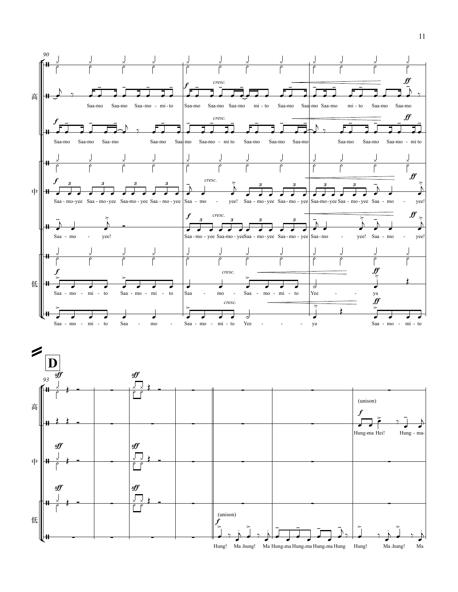

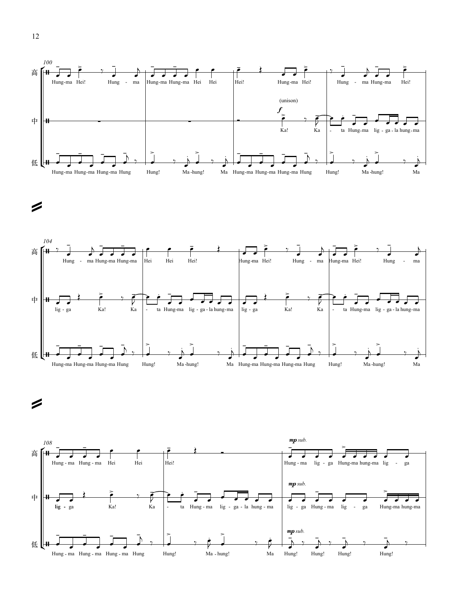

 $\mathbb{Z}$  and the set of  $\mathbb{Z}$ 



 $\mathbb{Z}$  and the set of  $\mathbb{Z}$ 

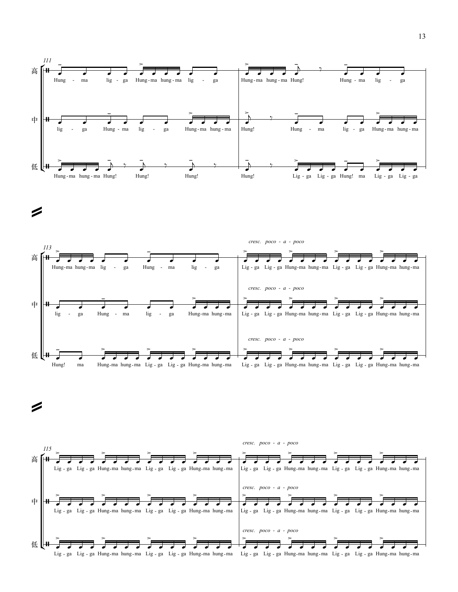

 $\mathbb{Z}$  and the set of  $\mathbb{Z}$ 



 $\mathbb{Z}$  and the set of  $\mathbb{Z}$ 

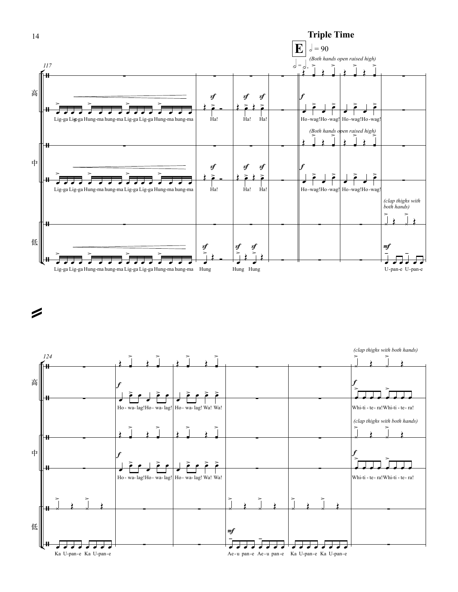



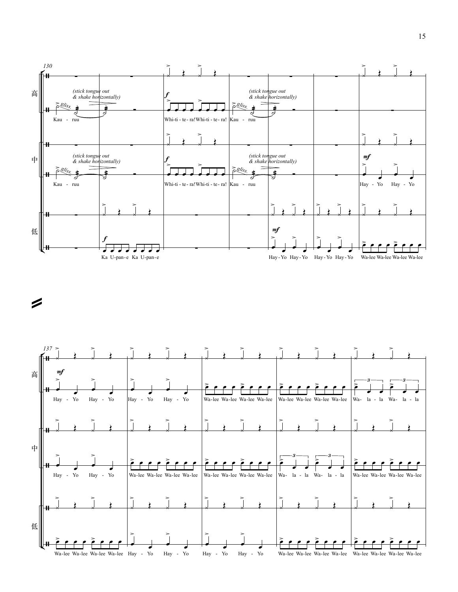



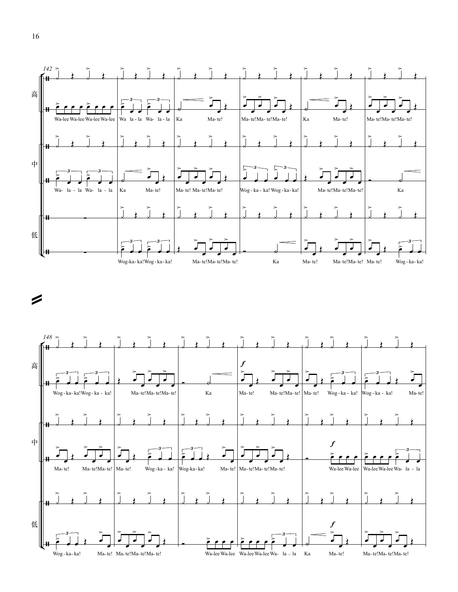